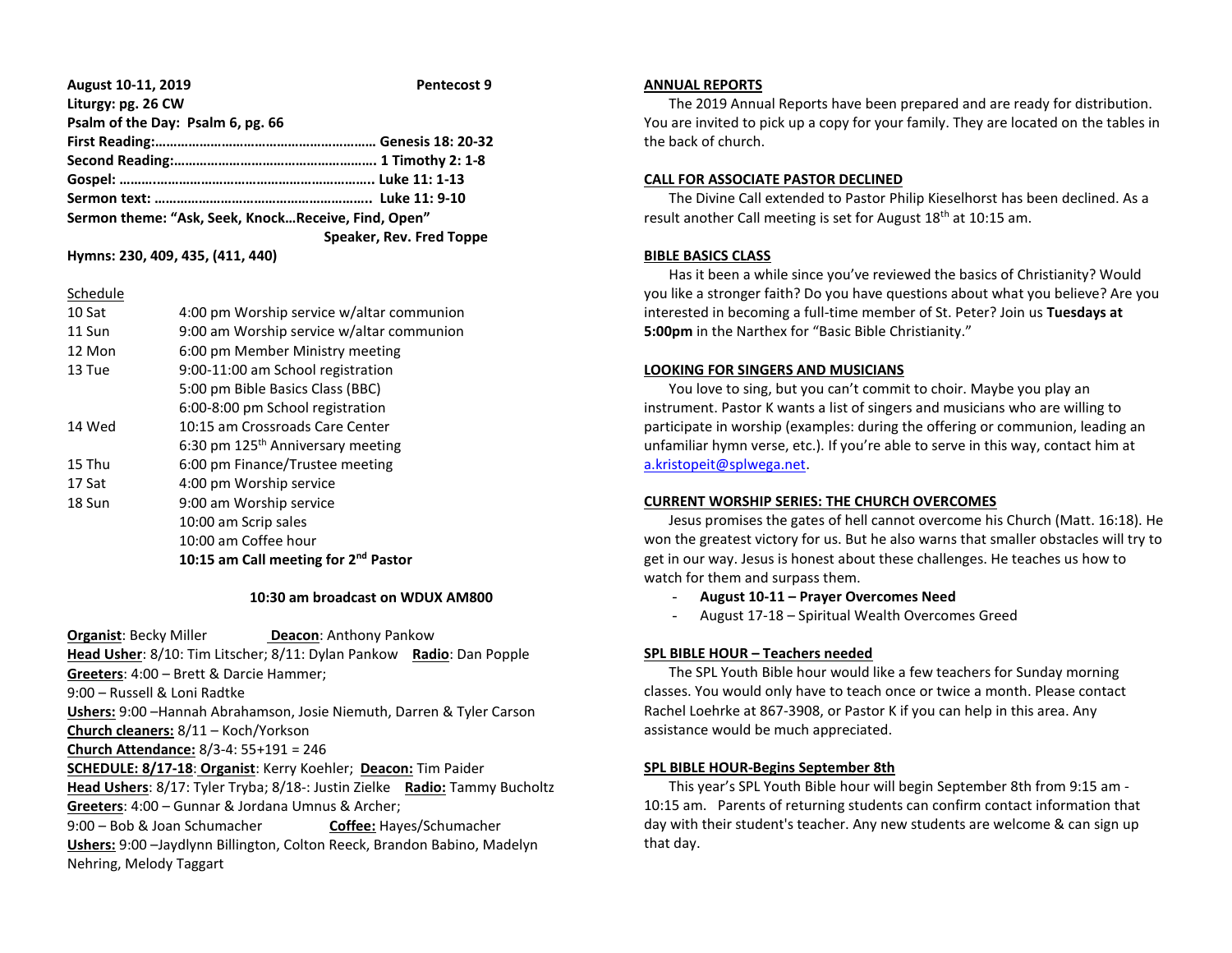| August 10-11, 2019                                  | Pentecost 9              |
|-----------------------------------------------------|--------------------------|
| Liturgy: pg. 26 CW                                  |                          |
| Psalm of the Day: Psalm 6, pg. 66                   |                          |
|                                                     |                          |
|                                                     |                          |
|                                                     |                          |
|                                                     |                          |
| Sermon theme: "Ask, Seek, KnockReceive, Find, Open" |                          |
|                                                     | Speaker, Rev. Fred Toppe |

**Hymns: 230, 409, 435, (411, 440)**

|--|

| 10 Sat | 4:00 pm Worship service w/altar communion        |
|--------|--------------------------------------------------|
| 11 Sun | 9:00 am Worship service w/altar communion        |
| 12 Mon | 6:00 pm Member Ministry meeting                  |
| 13 Tue | 9:00-11:00 am School registration                |
|        | 5:00 pm Bible Basics Class (BBC)                 |
|        | 6:00-8:00 pm School registration                 |
| 14 Wed | 10:15 am Crossroads Care Center                  |
|        | 6:30 pm 125 <sup>th</sup> Anniversary meeting    |
| 15 Thu | 6:00 pm Finance/Trustee meeting                  |
| 17 Sat | 4:00 pm Worship service                          |
| 18 Sun | 9:00 am Worship service                          |
|        | 10:00 am Scrip sales                             |
|        | 10:00 am Coffee hour                             |
|        | 10:15 am Call meeting for 2 <sup>nd</sup> Pastor |
|        |                                                  |

#### **10:30 am broadcast on WDUX AM800**

**Organist: Becky Miller <b>Deacon:** Anthony Pankow **Head Usher**: 8/10: Tim Litscher; 8/11: Dylan Pankow **Radio**: Dan Popple **Greeters**: 4:00 – Brett & Darcie Hammer; 9:00 – Russell & Loni Radtke **Ushers:** 9:00 –Hannah Abrahamson, Josie Niemuth, Darren & Tyler Carson **Church cleaners:** 8/11 – Koch/Yorkson **Church Attendance:** 8/3-4: 55+191 = 246 **SCHEDULE: 8/17-18**: **Organist**: Kerry Koehler; **Deacon:** Tim Paider **Head Ushers**: 8/17: Tyler Tryba; 8/18-: Justin Zielke **Radio:** Tammy Bucholtz **Greeters**: 4:00 – Gunnar & Jordana Umnus & Archer; 9:00 – Bob & Joan Schumacher **Coffee:** Hayes/Schumacher **Ushers:** 9:00 –Jaydlynn Billington, Colton Reeck, Brandon Babino, Madelyn Nehring, Melody Taggart

### **ANNUAL REPORTS**

 The 2019 Annual Reports have been prepared and are ready for distribution. You are invited to pick up a copy for your family. They are located on the tables in the back of church.

## **CALL FOR ASSOCIATE PASTOR DECLINED**

 The Divine Call extended to Pastor Philip Kieselhorst has been declined. As a result another Call meeting is set for August 18<sup>th</sup> at 10:15 am.

# **BIBLE BASICS CLASS**

 Has it been a while since you've reviewed the basics of Christianity? Would you like a stronger faith? Do you have questions about what you believe? Are you interested in becoming a full-time member of St. Peter? Join us **Tuesdays at 5:00pm** in the Narthex for "Basic Bible Christianity."

## **LOOKING FOR SINGERS AND MUSICIANS**

 You love to sing, but you can't commit to choir. Maybe you play an instrument. Pastor K wants a list of singers and musicians who are willing to participate in worship (examples: during the offering or communion, leading an unfamiliar hymn verse, etc.). If you're able to serve in this way, contact him at [a.kristopeit@splwega.net.](mailto:a.kristopeit@splwega.net)

# **CURRENT WORSHIP SERIES: THE CHURCH OVERCOMES**

 Jesus promises the gates of hell cannot overcome his Church (Matt. 16:18). He won the greatest victory for us. But he also warns that smaller obstacles will try to get in our way. Jesus is honest about these challenges. He teaches us how to watch for them and surpass them.

- **August 10-11 – Prayer Overcomes Need**
- August 17-18 Spiritual Wealth Overcomes Greed

# **SPL BIBLE HOUR – Teachers needed**

 The SPL Youth Bible hour would like a few teachers for Sunday morning classes. You would only have to teach once or twice a month. Please contact Rachel Loehrke at 867-3908, or Pastor K if you can help in this area. Any assistance would be much appreciated.

# **SPL BIBLE HOUR-Begins September 8th**

 This year's SPL Youth Bible hour will begin September 8th from 9:15 am - 10:15 am. Parents of returning students can confirm contact information that day with their student's teacher. Any new students are welcome & can sign up that day.